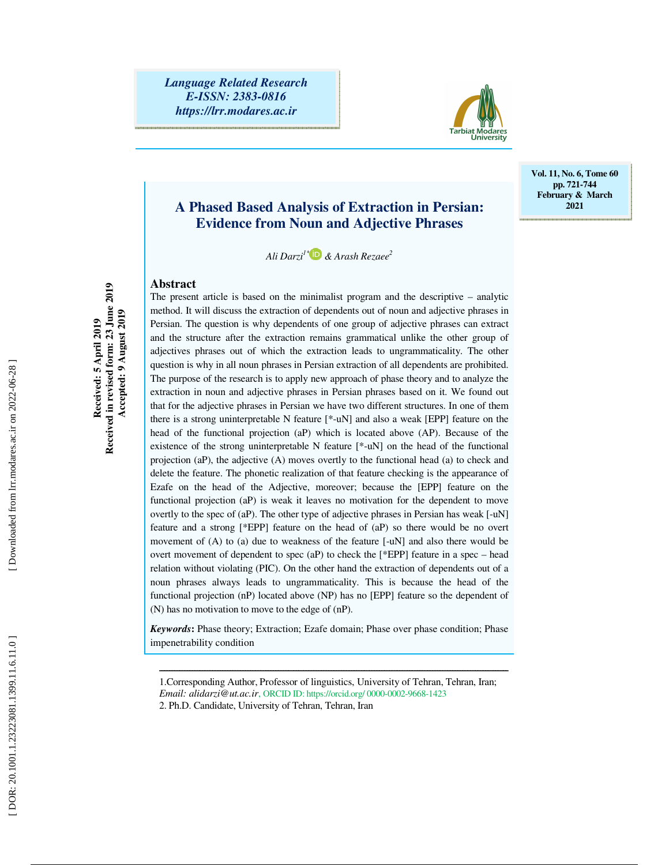

# **A Phased Based Analysis of Extraction in Persian: Evidence from Noun and Adjective Phrases**

*Ali Darzi1\* & Arash Rezaee 2*

# **Abstract**

The present article is based on the minimalist program and the descriptive – analytic method. It will discuss the extraction of dependents out of noun and adjective phrases in Persian. The question is why dependents of one group of adjective phrases can extract and the structure after the extraction remains grammatical unlike the other group of adjectives phrases out of which the extraction leads to ungrammaticality. The other question is why in all noun phrases in Persian extraction of all dependents are prohibited. The purpose of the research is to apply new approach of phase theory and to analyze the extraction in noun and adjective phrases in Persian phrases based on it. We found out that for the adjective phrases in Persian we have two different structures. In one of them there is a strong uninterpretable N feature [\*-uN] and also a weak [EPP] feature on the head of the functional projection (aP) which is located above (AP). Because of the existence of the strong uninterpretable N feature [\*-uN] on the head of the functional projection (aP), the adjective (A) moves overtly to the functional head (a) to check and delete the feature. The phonetic realization of that feature checking is the appearance of Ezafe on the head of the Adjective, moreover; because the [EPP] feature on the functional projection (aP) is weak it leaves no motivation for the dependent to move overtly to the spec of (aP). The other type of adjective phrases in Persian has weak [-uN] feature and a strong [\*EPP] feature on the head of (aP) so there would be no overt movement of (A) to (a) due to weakness of the feature [-uN] and also there would be overt movement of dependent to spec  $(aP)$  to check the [\*EPP] feature in a spec – head relation without violating (PIC). On the other hand the extraction of dependents out of a noun phrases always leads to ungrammaticality. This is because the head of the

*Keywords* **:** Phase theory; Extraction; Ezafe domain; Phase over phase condition; Phase impenetrability condition

functional projection (nP) located above (NP) has no [EPP] feature so the dependent of

ــــــــــــــــــــــــــــــــــــــــــــــــــــــــــــــــــــــــــــــــــــــــــــــــــــــــــــــــــــــــــــــــــــــــــ

(N) has no motivation to move to the edge of (nP).

**Vol. 11, No. 6, Tome 60 pp. 721-744 February & March 2021** 

<sup>1.</sup>Corresponding Author, Professor of linguistics, University of Tehran, Tehran, Iran; *Email: alidarzi@ut.ac.ir*, ORCID ID: https://orcid.org/ 0000-0002-9668-1423

<sup>2.</sup> Ph.D. Candidate, University of Tehran, Tehran, Iran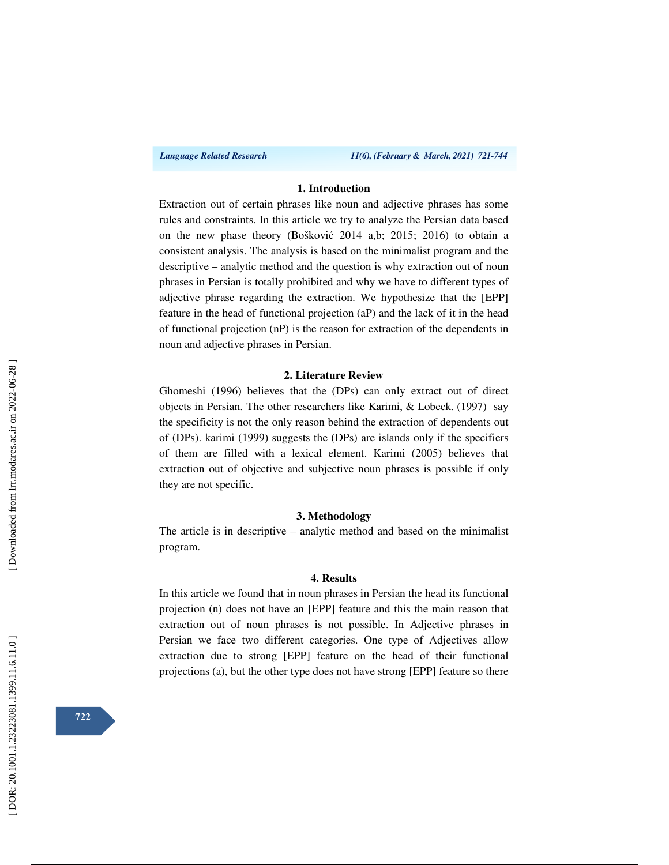*Language Related Research 11(6), (February & March, 2021) 721-744*

# **1. Introduction**

Extraction out of certain phrases like noun and adjective phrases has some rules and constraints. In this article we try to analyze the Persian data based on the new phase theory (Boškovi ć 2014 a,b; 2015; 2016) to obtain a consistent analysis. The analysis is based on the minimalist program and the descriptive – analytic method and the question is why extraction out of noun phrases in Persian is totally prohibited and why we have to different types of adjective phrase regarding the extraction. We hypothesize that the [EPP] feature in the head of functional projection (aP) and the lack of it in the head of functional projection (nP) is the reason for extraction of the dependents in noun and adjective phrases in Persian.

#### **2. Literature Review**

Ghomeshi (1996) believes that the (DPs) can only extract out of direct objects in Persian. The other researchers like Karimi, & Lobeck. (1997) say the specificity is not the only reason behind the extraction of dependents out of (DPs). karimi (1999) suggests the (DPs) are islands only if the specifiers of them are filled with a lexical element. Karimi (2005) believes that extraction out of objective and subjective noun phrases is possible if only they are not specific.

#### **3. Methodology**

The article is in descriptive – analytic method and based on the minimalist program.

#### **4. Results**

In this article we found that in noun phrases in Persian the head its functional projection (n) does not have an [EPP] feature and this the main reason that extraction out of noun phrases is not possible. In Adjective phrases in Persian we face two different categories. One type of Adjectives allow extraction due to strong [EPP] feature on the head of their functional projections (a), but the other type does not have strong [EPP] feature so there

**722**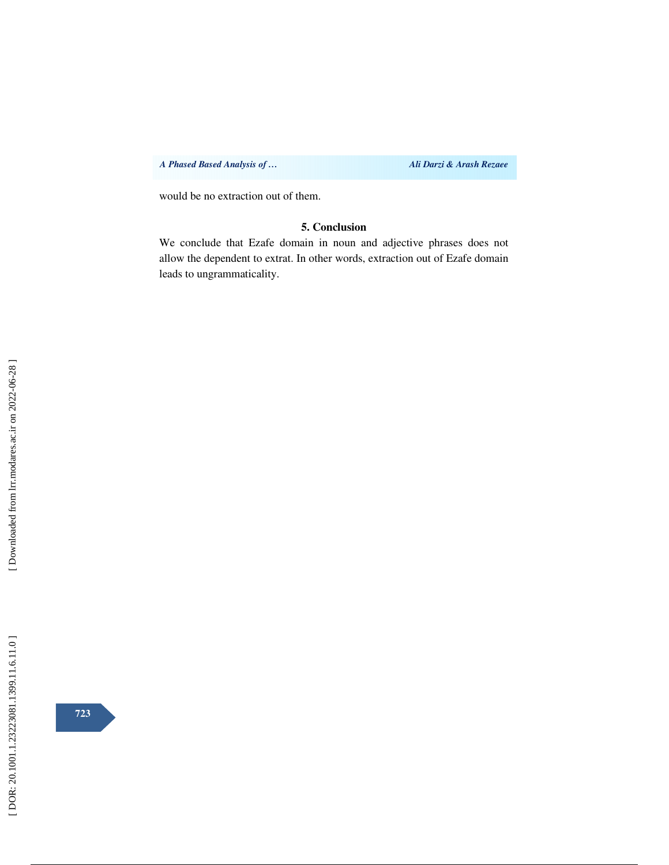*A Phased Based Analysis of … Ali Darzi & Arash Rezaee* 

would be no extraction out of them.

# **5. Conclusion**

We conclude that Ezafe domain in noun and adjective phrases does not allow the dependent to extrat. In other words, extraction out of Ezafe domain leads to ungrammaticality.

**723**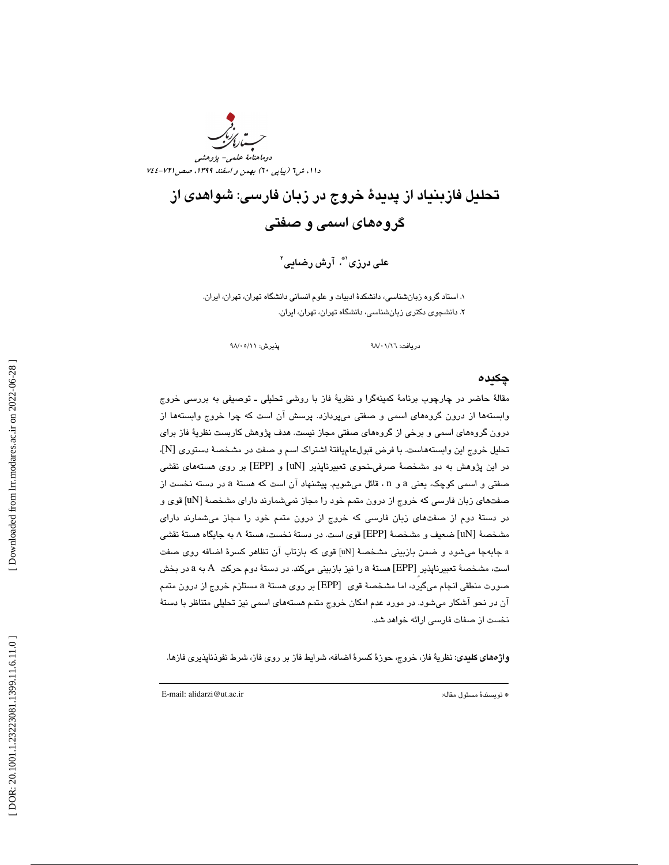

# تحليل فازبنياد از پديدة خروج در زبان فارسي: شواهدي از گروههاي اسمي و صفتي

على درزى'\*، آرش رضايى'

. استاد گروه زبانشناسي ، دانشكدة ادبيات و علوم انساني دانشگاه تهران، تهران، ايران . 1 . 2 دانشجوي دكتري زبانشناسي ، دانشگاه تهران، تهران، ايران.

دريافت: ٩٨/٠١/١٦ هـ السين بداره ٩٨/٠٥/١٩

# چكيده

مقالة حاضر در چارچوب برنامة كمينهگرا و نظرية فاز با روشي تحليلي ـ توصيفي به بررسي خروج وابستهها از درون گروههاي اسمي و صفتي ميپردازد. پرسش آن است كه چرا خروج وابستهها از درون گروههاي اسمي و برخي از گروههاي صفتي مجاز نيست. هدف پژوهش كاربست نظرية فاز براي تحليل خروج اين وابسته هاست. با فرض قبولعاميافتة اشتراك اسم و صفت در مشخصة دستوري [N]، در اين پژوهش به دو مشخصة صرفيـنحوي تعبيرناپذير [uN [و [EPP [بر روي هستههاي نقشي صفتی و اسمی کوچک، یعنی a و n ، قائل میشویم. پیشنهاد آن است که هستهٔ a در دسته نخست از صفتهاي زبان فارسي كه خروج از درون متمم خود را مجاز نميشمارند داراي مشخصهٔ [uN] قوي و در دستهٔ دوم از صفتهای زبان فارسی كه خروج از درون متمم خود را مجاز میشمارند دارای مشخصهٔ [uN] ضعيف و مشخصهٔ [EPP] قوی است. در دستهٔ نخست، هستهٔ A به جايگاه هستهٔ نقشی a جابهجا میشود و ضمن بازبینی مشخصهٔ [uN] قوی که بازتاب ان تظاهر کسرهٔ اضافه روی صفت است، مشخصهٔ تعبیرناپذیر [EPP] هستهٔ a را نیز بازبینی میکند. در دستهٔ دوم حرکت A به a در بخش صورت منطقی انجام میگیرد، اما مشخصهٔ قوی [EPP] بر روی هستهٔ a مستلزم خروج از درون متمم آن در نحو آشكار ميشود. در مورد عدم امكان خروج متمم هستههاي اسمي نيز تحليلي متناظر با دستة نخست از صفات فارسي ارائه خواهد شد.

واژههاي كليدي: نظرية فاز، خروج، حوزهٔ كسرهٔ اضافه، شرايط فاز بر روي فاز، شرط نفوذناپذيري فازها.

ــــــــــــــــــــــــــــــــــــــــــــــــــــــــــــــــــــــــــــــــــــــــــــــــــــــــــــــــــــــــــــــــــــــــــ

E-mail: alidarzi@ut.ac.ir :مقاله مسئول نويسندة\*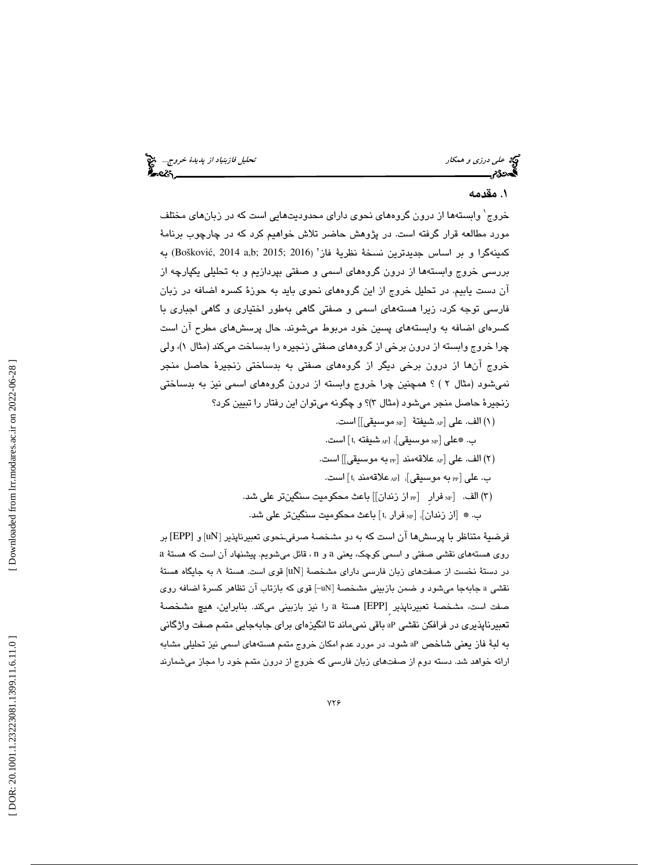علي *درزي و همكار تحليل فازبنياد از پديدة خروج..*. الميخ<br>ال**حدود العليل فازبنياد از پديدة خروج...**<br>**الحدود الحدود العليل في العليل العليل في العليل في العليل في العليل في العليل في العليل العليل العليل العليل** 

# . 1 مقدم ه

خروج 1 وابستهها از درون گروههاي نحوي داراي محدوديتهايي است كه در زبانهاي مختلف مورد مطالعه قرار گرفته است. در پژوهش حاضر تلاش خواهيم كرد كه در چارچوب برنامة كمينهگرا و بر اساس جديدترين نسخة نظرية فاز 2 به (Boškovi ć, 2014 a,b; 2015; 2016 ) بررسي خروج وابستهها از درون گروههاي اسمي و صفتي بپردازيم و به تحليلي يكپارچه از ن دست يابيم. در تحليل خروج از اين گروههاي نحوي بايد به حوزة كسره اضافه در زبان آ فارسي توجه كرد، زيرا هستههاي اسمي و صفتي گاهي بهطور اختياري و گاهي اجباري با کسرهای اضافه به وابستههای پسین خود مربوط میشوند. حال پرسشهای مطرح ان است چرا خروج وابسته از درون برخي از گروههاي صفتي زنجيره را بدساخت مي كند (مثال )1 ، ولي خروج آنها از درون برخي ديگر از گروههاي صفتي به بدساختي زنجيرة حاصل منجر نميشود (مثال ٢ ) ؟ همچنين چرا خروج وابسته از درون گروههاي اسمي نيز به بدساختي زنجيرة حاصل منجر مي شود (مثال ٣)؟ و چگونه مي توان اين رفتار را تبيين كرد؟

- NP موسيقي]] است. AP شيفتة [ 1( ) الف. علي [ ب. ۞علي [<sub>NP</sub> موسيقي]<sub>i</sub> [<sub>AP</sub>] شيفته t<sub>i</sub> است. (۲) الف. على [<sub>AP</sub> علاقهمند [<sub>PP</sub> به موسيقى]] است. ب. على pp] به موسيقي] $_{\rm AP}$  [ $_{\rm AP}$  علاقهمند  $_{\rm 1}$ ] است. (۳) الف. [n، فرار [n، از زندان]] باعث محکومیت سنگینتر علی شد.
- ب. ۞ [از زندان]، [«» فرار ؛] باعث محكوميت سنگينتر علي شد.

فرضيهٔ متناظر با پرسشها آن است كه به دو مشخصهٔ صرفیـنحوی تعبیرناپذیر [uN] و [EPP] بر روی هستههای نقشی صفتی و اسمی كوچک، يعنی a و n ، قائل میشويم. پيشنهاد آن است كه هستهٔ a در دستهٔ نخست از صفتهای زبان فارسی دارای مشخصهٔ [uN] قوی است. هستهٔ A به جایگاه هستهٔ نقشي a جابهجا ميشود و ضمن بازبيني مشخصهٔ [uN] قوی که بازتاب آن تظاهر کسرهٔ اضافه روی صفت است، مشخصهٔ تعبيرناپذير [EPP] هستهٔ a را نيز بازبيني ميكند. بنابراين، هيچ مشخصهٔ تعبيرناپذيري در فرافكن نقشي aP باقي نميماند تا انگيزهاي براي جابهجايي متمم صفت واژگاني به لبهٔ فاز يعني شاخص aP شود. در مورد عدم امکان خروج متمم هستههاي اسمي نيز تحليلي مشابه ارائه خواهد شد. دسته دوم از صفتهاي زبان فارسي كه خروج از درون متمم خود را مجاز ميشمارند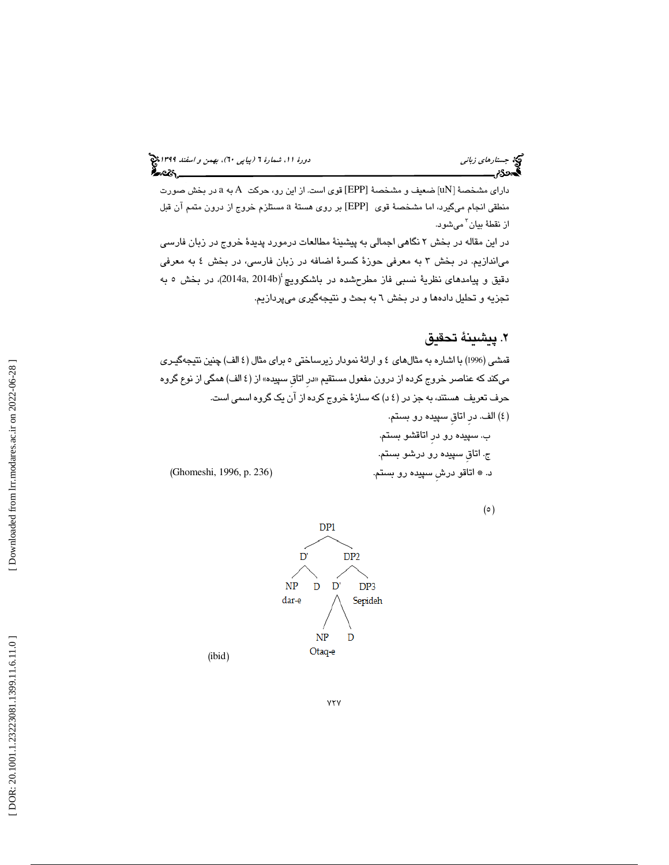داراي مشخصة [uN] ضعيف و مشخصة [EPP] قوي است. از اين رو، حركت A به a در بخش صورت منطقی انجام میگیرد، اما مشخصهٔ قوی [EPP] بر روی هستهٔ a مستلزم خروج از درون متمم آن قبل از نقطهٔ بيان<sup>٬</sup> ميشود. در اين مقاله در بخش ۲ نگاهي اجمالي به پيشينهٔ مطالعات درمورد پديدهٔ خروج در زبان فارسي مياندازيم. در بخش 3 به معرفي حوزة كسرة اضافه در زبان فارسي، در بخش 4 به معرفي دقيق و پيامدهاى نظريهٔ نسبى فاز مطرحشده در باشكوويچ<sup>،</sup>(2014a, 2014b)، در بخش ٥ به تجزيه و تحليل دادهها و در بخش 6 به بحث و نتيجهگيري ميپردازيم.

# . پيشينة تحقيق 2

قمشي (1996) با اشاره به مثالهاي 4 و ارائة نمودار زيرساختي 5 براي مثال 4( الف ) چنين نتيجهگيـري میكند كه عناصر خروج كرده از درون مفعول مستقيم «در اتاق سپيده» از (٤ الف) همگی از نوع گروه حرف تعريف هستند ، به جز در 4( د) كه سازة خروج كرده از آن يك گروه اسمي است.

 )4( الف. درِ اتاقِ سپيده رو بستم. ب. سپيده رو درِ اتاقشو بستم . ج. اتاقِ سپيده رو درشو بستم. د. \* اتاقو درشِ سپيده رو بستم. (236 .p 1996, ,Ghomeshi(

 $(0)$ 



 $YYY$ 

( ibid )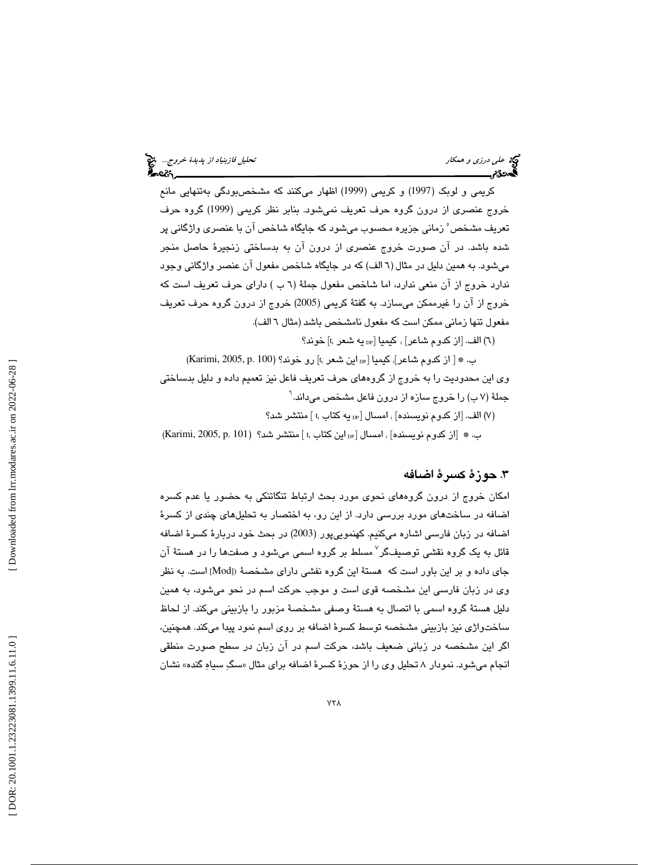كريمي و لوبک (1997) و كريمي (1999) اظهار ميكنند كه مشخصبودگي بهتنهايي مانع خروج عنصري از درون گروه حرف تعريف نميشود. بنابر نظر كريمي (1999) گروه حرف تعريف مشخص 5 زماني جزيره محسوب ميشود كه جايگاه شاخص آن با عنصري واژگاني پر شده باشد. در آن صورت خروج عنصري از درون آن به بدساختي زنجيرة حاصل منجر ميشود. به همين دليل در مثال 6( الف) كه در جايگاه شاخص مفعول آن عنصر واژگاني وجود ندارد خروج از آن منعي ندارد، اما شاخص مفعول جملة 6( ) ب داراي حرف تعريف است كه خروج از آن را غيرممكن ميسازد. به گفتة كريمي (2005) خروج از درون گروه حرف تعريف مفعول تنها زماني ممكن است كه مفعول نامشخص باشد (مثال 6 الف).

(٦) الف. [از كدوم شاعر] ، كيميا [<sub>DP</sub> يه شعر t<sub>i</sub>] خوند؟

 $Karimi, 2005, p. 100)$  (Karimi, 2005,  $p. 100$  ) ب.  $\ast$  [  $_{\rm{p}}$   $\cdot$   $\cdot$ جملهٔ (۷ ب) را خروج سازه از درون فاعل مشخص می،داند.<sup>۱</sup> وی اين محدوديت را به خروج از گروههاي حرف تعريف فاعل نيز تعميم داده و دليل بدساختي

(۷) الف. [از كدوم نويسنده] ، امسال [ $_{\rm DP}$  يه كتاب  $_{\rm t}$ ] منتشر شد؟

ب. ۞ [از كدوم نويسنده] ، امسال [ $_{\rm p}$ اين كتاب ،ا ] منتشر شد؟ (Karimi, 2005, p. 101

# .3 حوزة كسرة اضافه

امكان خروج از درون گروههاي نحوي مورد بحث ارتباط تنگاتنكي به حضور يا عدم كسره اضافه در ساختهاي مورد بررسي دارد. از اين رو، به اختصار به تحليلهاي چندي از كسرهٔ اضافه در زبان فارسي اشاره ميكنيم. كهنموييپور (2003) در بحث خود دربارة كسرة اضافه قائل به یک گروه نقشی توصیفگر<sup>۷</sup> مسلط بر گروه اسمی میشود و صفتها را در هستهٔ آن جای داده و بر این باور است که هستهٔ این گروه نفشی دارای مشخصهٔ ([Mod] است. به نظر وي در زبان فارسي اين مشخصه قوي است و موجب حركت اسم در نحو ميشود ، به همين دليل هستة گروه اسمي با اتصال به هستة وصفي مشخصة مزبور را بازبيني ميكند. از لحاظ ساختواژي نيز بازبيني مشخصه توسط كسرة اضافه بر روي اسم نمود پيدا ميكند. همچنين ، اگر اين مشخصه در زباني ضعيف باشد، حركت اسم در آن زبان در سطح صورت منطقي انجام میشود. نمودار ۸ تحلیل وی را از حوزهٔ کسرهٔ اضافه برای مثال «سگِ سیاهِ گنده» نشان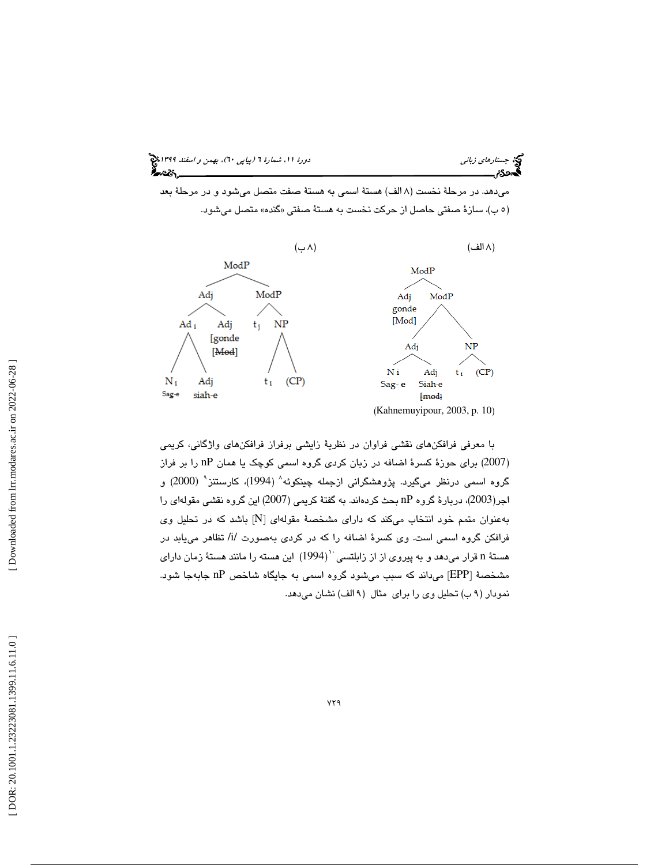

 ميدهد. در مرحلة نخست ( 8 الف) هستة اسمي به هستة صفت متصل ميشود و در مرحلة بعد (۰ ب)، سازهٔ صفتی حاصل از حرکت نخست به هستهٔ صفتی «گنده» متصل میشود.



با معرفي فرافكنهاي نقشي فراوان در نظرية زايشي برفراز فرافكنهاي واژگاني، كريمي 2007) براي حوزة كسرة اضافه در زبان كردي گروه اسمي كوچك يا همان nP را بر فراز ) گروه اسمی درنظر میگیرد. پژوهشگرانی ازجمله چینکوئه $^{\wedge}$  (1994)، کارستنز $^{\wedge}$  (2000) و اجر(2003)، دربارهٔ گروه nP بحث كردهاند. به گفتهٔ كريمي (2007) اين گروه نقشي مقولهاي را بهعنوان متمم خود انتخاب میكند كه دارای مشخصهٔ مقولهای [N] باشد كه در تحلیل وی فرافکن گروه اسمی است. وی کسرهٔ اضافه را که در کردی بهصورت /i/ تظاهر مییابد در هستهٔ n قرار میدهد و به پیروی از از زابلتسی ``(1994) این هسته را مانند هستهٔ زمان دارای مشخصهٔ [EPP] میداند که سبب میشود گروه اسمی به جایگاه شاخص nP جابهجا شود. نمودار (٩ ب) تحليل وي را براي مثال (٩ الف) نشان مي دهد.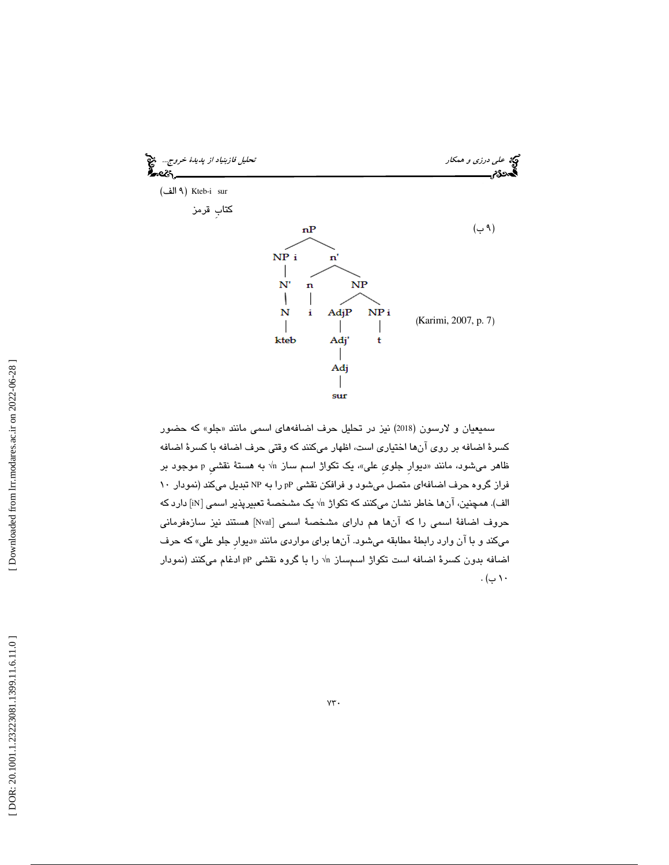

سمیعیان و لارسون (2018) نیز در تحلیل حرف اضافههای اسمی مانند «جلو» که حضور كسرة اضافه بر روي آنها اختياري است، اظهار ميكنند كه وقتي حرف اضافه با كسرة اضافه ظاهر میشود، مانند «دیوار جلوی علی»، یک تکواژ اسم ساز n√ به هستهٔ نقشی p موجود بر فراز گروه حرف اضافهاي متصل ميشود و فرافكن نقشي pP را به NP تبديل مي كند (نمودار 10 الف). همچنین، آنها خاطر نشان میکنند که تکواژ n√ یک مشخصهٔ تعبیرپذیر اسمی [iN] دارد که حروف اضافة اسمي را كه آنها هم داراي مشخصة اسمي [Nval [هستند نيز سازهفرماني ميكند و با آن وارد رابطهٔ مطابقه ميشود. آنها براي مواردي مانند «ديوار جلو علي» كه حرف اضافه بدون كسرهٔ اضافه است تكواژ اسمساز n√ را با گروه نقشی pP ادغام میكنند (نمودار  $\cdot$  ( ب)  $\cdot$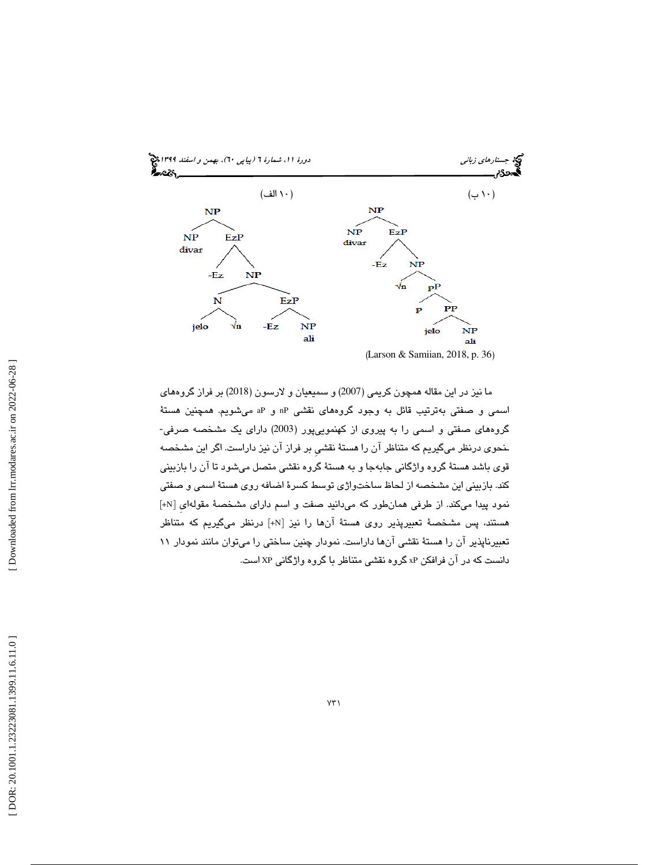

ما نيز در اين مقاله همچون كريمي (2007) و سميعيان و لارسون ( 2018) بر فراز گروههاي اسمي و صفتي بهترتيب قائل به وجود گروههاي نقشي nP و aP ميشويم. همچنين هستة گروههاي صفتي و اسمي را به پيروي از كهنموييپور (2003) داراي يك مشخصه صرفي- ـنحوي درنظر ميگيريم كه متناظر آن را هستة نقشيِ بر فراز آن نيز داراست. اگر اين مشخصه قوی باشد هستهٔ گروه واژگانی جابهجا و به هستهٔ گروه نقشی متصل میشود تا آن را بازبینی كند. بازبيني اين مشخصه از لحاظ ساختواژي توسط كسرة اضافه روي هستة اسمي و صفتي نمود پيدا ميكند. از طرفي همانطور كه ميدانيد صفت و اسم داراي مشخصة مقولهايِ [N+ [ هستند، پس مشخصة تعبيرپذير روي هستة آنها را نيز [N+ [درنظر ميگيريم كه متناظر تعبيرناپذير آن را هستة نقشي آنها داراست. نمودار چنين ساختي را ميتوان مانند نمودار 11 دانست كه در آن فرافكن xP گروه نقشي متناظر با گروه واژگاني XP است.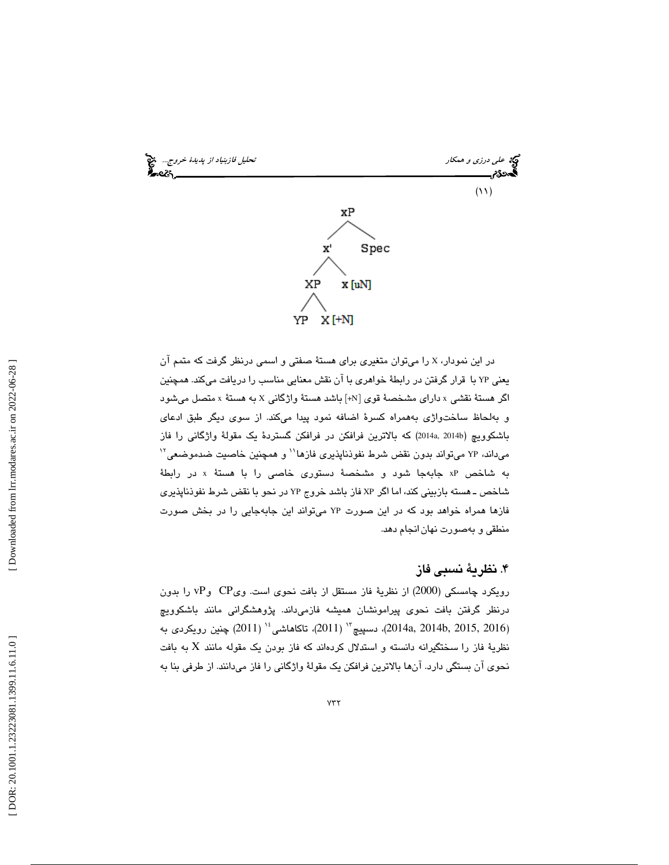

در اين نمودار، X را ميتوان متغيري براي هستة صفتي و اسمي درنظر گرفت كه متمم آن يعني YP با قرار گرفتن در رابطة خواهري با آن نقش معنايي مناسب را دريافت ميكند. همچنين اگر هستهٔ نقشی x دارای مشخصهٔ قوی [k+] باشد هستهٔ واژگانی x به هستهٔ x متصل میشود به و لحاظ ساختواژي بههمراه كسرة اضافه نمود پيدا ميكند. از سوي ديگر طبق ادعاي باشكوويچ (2014a, 2014b) كه بالاترين فرافكن در فرافكن گستردهٔ يک مقولهٔ واژگانی را فاز میداند، YP میتواند بدون نقض شرط نفوذناپذیری فازها`` و همچنین خاصیت ضدموضعی<sup>۱۲</sup> به شاخص xP جابهجا شود و مشخصهٔ دستوری خاصی را با هستهٔ x در رابطهٔ اش ـ خص هسته بازبيني كند ، اما اگر XP فاز باشد خروج YP در نحو با نقض شرط نفوذناپذيري فازها همراه خواهد بود كه در اين صورت YP ميتواند اين جابهجايي را در بخش صورت منطقي و بهصورت نهانانجام دهد.

۴. نظريهٔ نسبی فاز

رويكرد چامسكي (2000) از نظرية فاز مستقل از بافت نحوي است. ويCP و vP را بدون درنظر گرفتن بافت نحوی پيرامونشان هميشه فازمیداند. پژوهشگرانی مانند باشكوويچ دسپيچ " (2011)، تاكاهاشى '' (2011) چنين رويكردى به (2011) چنين رويكردى به  $(2014$ a, 2014) چنين رويكردى به نظريهٔ فاز را سختگيرانه دانسته و استدلال كردهاند كه فاز بودن يک مقوله مانند X به بافت نحوي آن بستگي دارد. آنها بالاترين فرافكن يك مقولة واژگاني را فاز ميدانند. از طرفي بنا به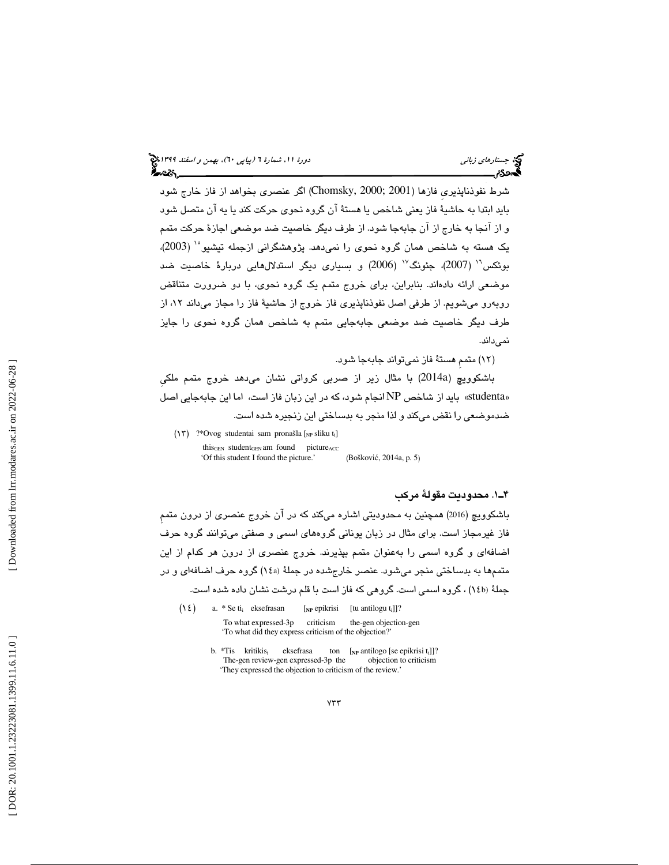شرط نفوذناپذيريِ فازها ( 2001 ;2000 ,Chomsky ( اگر عنصري بخواهد از فاز خارج شود بايد ابتدا به حاشية فاز يعني شاخص يا هستة آن گروه نحوي حركت كند يا يه آن متصل شود و از آنجا به خارج از آن جابهجا شود. از طرف ديگر خاصيت ضد موضعي اجازهٔ حركت متمم يک هسته به شاخص همان گروه نحوي را نمي دهد. پژوهشگراني ازجمله تيشيو°٬ (2003)،  $\sim$  بوئكس $^{\prime\prime}$  (2007)، جئونگ $^{\prime\prime}$  (2006) و بسياری ديگر استدلال $\,$ هايی دربارهٔ خاصيت ضد موضعي ارائه دادهاند. بنابراين ، براي خروج متمم يك گروه نحوي، با دو ضرورت متناقض رو ميشويم. از طرفي اصل نفوذناپذيري فاز خروج از حاشية فاز را مجاز ميداند 12، از روبه طرف ديگر خاصيت ضد موضعى جابهجايي متمم به شاخص همان گروه نحوى را جايز نميداند.

12) متممِ هستة فاز نميتواند جابهجا شود. )

باشكوويچ (a2014 (با مثال زير از صربي كرواتي نشان ميدهد خروج متمم ملكيِ «studenta» بايد از شاخص NP انجام شود، كه در اين زبان فاز است، اما اين جابهجايي اصل ضدموضعي را نقض مي كند و لذا منجر به بدساختي اين زنجيره شده است .

 $(\ensuremath{\mathsf{h}}\xspace)$ ?\*<br>Ovog studentai sam pronašla $[_{\ensuremath{\mathsf{N}}\xspace\mathsf{P}}$ sliku t<br/>:] this<sub>GEN</sub> student<sub>GEN</sub> am found picture $_{ACC}$  'Of this student I found the picture.' (Boškovi ć, 2014a, p. 5 )

### 1ـ4 . محدوديت مقولة مركب

باشكوويچ (2016) همچنين به محدوديتي اشاره ميكند كه در آن خروج عنصري از درون متممِ فاز غيرمجاز است. براي مثال در زبان يوناني گروههاي اسمي و صفتي ميتوانند گروه حرف اضافهاي و گروه اسمي را بهعنوان متمم بپذيرند. خروج عنصري از درون هر كدام از اين متممها به بدساختي منجر ميشود. عنصر خارجشده در جملة (a14 ( گروه حرف اضافهاي و در جملهٔ (۱٤b) ، گروه اسمی است. گروهی که فاز است با قلم درشت نشان داده شده است.

 $(12)$  a. \* Se ti i eksefrasan [NP epikrisi [tu antilogu t<sub>i</sub>]]? To what expressed-3p criticism the-gen objection-gen 'To what did they express criticism of the objection?'

> b. \*Tis kritikis ton  $\begin{bmatrix} \text{N}_P \text{ antilogo} \end{bmatrix}$  [se epikrisi t<sub>i</sub>]]?<br>Bp the objection to criticism The-gen review-gen expressed-3p the 'They expressed the objection to criticism of the review.'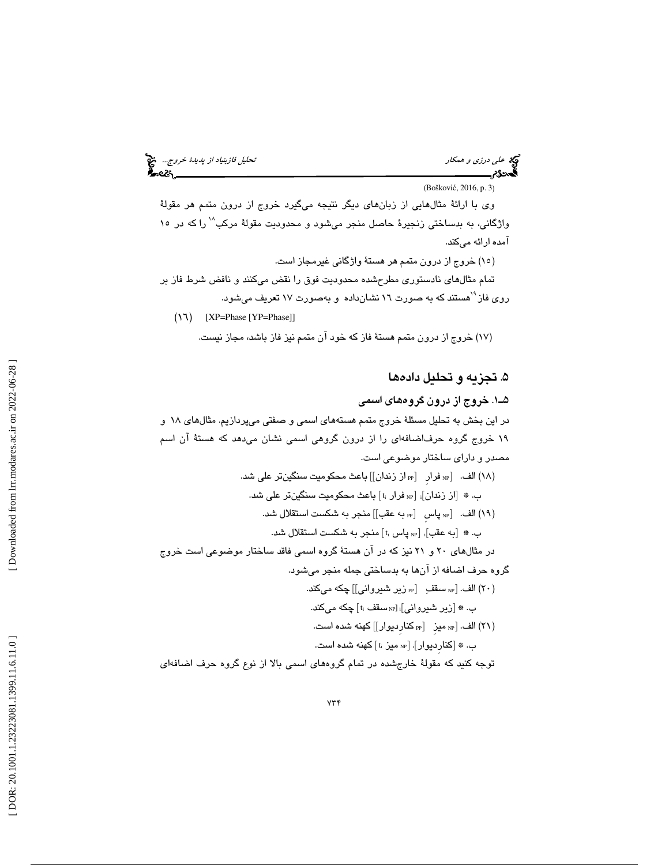علي فازبنياد *از پديدة خروج...* التي تحليل فازبنياد *از پديدة خروج...*<br>التحديدي<br>التحديدي التحليل فارسيل التي تحليل فارسيل التحليل فازبنياد از پديدة خروج...

 (Boškovi ć, 2016, p. 3 ) وي با ارائة مثالهايي از زبانهاي ديگر نتيجه ميگيرد خروج از درون متمم هر مقولة واژگاني، به بدساختي زنجيرهٔ حاصل منجر ميشود و محدوديت مقولهٔ مركب<sup>۱۸</sup> راكه در ۱۰ آمده ارائه ميكند. (١٥) خروج از درون متمم هر هستهٔ واژگانی غیرمجاز است.

تمام م ثالهاي نادستوري مطرحشده محدوديت فوق را نقض ميكنند و نافض شرط فاز بر روی فاز<sup>۹</sup>`هستند که به صورت ۱۲ نشانداده و بهصورت ۱۷ تعریف میشود.

 $(Y \rightharpoonup)$  [XP=Phase [YP=Phase]]

خروج از درون متمم هستة فاز كه خود آن متمم نيز فاز باشد، مجاز نيست. (17 )

# ۵. تجزيه و تحليل دادهها

1ـ5 . خروج از درون گروههاي اسمي در اين بخش به تحليل مسئلةً خروج متمم هستههاي اسمي و صفتي ميپردازيم. مثالهاي ١٨ و 19 خروج گروه حرفاضافه اي را از درون گروهي اسمي نشان ميدهد كه هستة آن اسم مصدر و داراي ساختار موضوعي است. (١٨) الف. [n، فرار [n، از زندان]] باعث محكوميت سنگينتر على شد. ب. ۞ [از زندان]، [«» فرار ؛] باعث محكوميت سنگينتر علي شد. الف.  $[$  به پاس  $[$  به عقب $\, ]]$  منجر به شكست استقلال شد.  $\mathbb{N} \,$  (۱۹ $)$ ب. ۞ [به عقب]: [li پاس iː] منجر به شكست استقلال شد. در مثالهای ۲۰ و ۲۱ نیز که در آن هستهٔ گروه اسمی فاقد ساختار موضوعی است خروج گروه حرف اضافه از آنها به بدساختي جمله منجر ميشود. (۲۰) الف. [le سقف [pe] زير شيرواني]] چكه ميكند. ب. ۞ [زیر شیروانی]<sub>i</sub> [<sub>۱۲</sub> سقف :t] چکه میکند. PP كنارِديوار]] كهنه شده است. NP ميزِ [ 21) الف. [ ) ب. ۞ [كنارِديوار]،  $_{\textrm{\tiny{NP}}}$  ميز ،t كهنه شده است. توجه كنيد كه مقولة خارجشده در تمام گروههاي اسمي بالا از نوع گروه حرف اضافهاي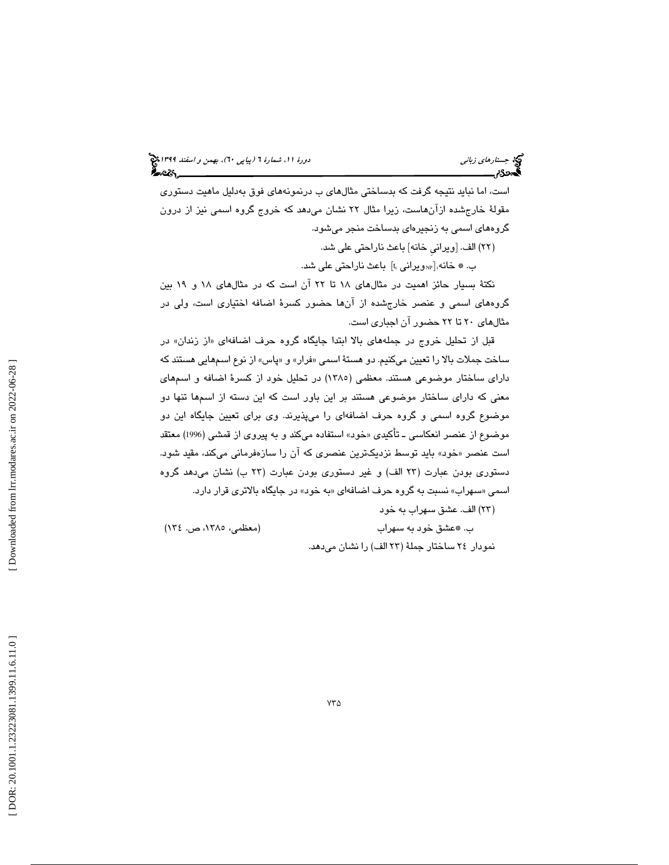است ، اما نبايد نتيجه گرفت كه بدساختي مثالهاي ب درنمونههاي فوق بهدليل ماهيت دستوري مقولهٔ خارج شده ازان $\mu$ است، زیرا مثال ۲۲ نشان می $\iota$ هد که خروج گروه اسمی نیز از درون گروههاي اسمي به زنجيرهاي بدساخت منجر ميشود.

(٢٢) الف. [ويراني خانه] باعث ناراحتى على شد.

ب. ۞ خانه<sub>i[«و</sub>يراني ¡t<sub>i</sub> باعث ناراحتي على شد.

نكتة بسيار حائز اهميت در مثالهاي 18 تا 22 آن است كه در مثالهاي 18 و 19 بين گروههاي اسمي و عنصر خارجشده از آنها حضور كسرة اضافه اختياري است ، ولي در مثالهاي 20 تا 22 حضور آن اجباري است.

قبل از تحلیل خروج در جملههای بالا ابتدا جایگاه گروه حرف اضافهای «از زندان» در ساخت جملات بالا را تعیین میكنیم. دو هستهٔ اسمی «فرار» و «پاس» از نوع اسمهایی هستند كه داراي ساختار موضوعي هستند. معظمي ( 1385) در تحليل خود از كسرة اضافه و اسمهاي معني كه داراي ساختار موضوعي هستند بر اين باور است كه اين دسته از اسمها تنها دو موضوع گروه اسمي و گروه حرف اضافهاي را ميپذيرند. وي براي تعيين جايگاه اين دو موضوع از عنصر انعكاسي ــ تاكيدى «خود» استفاده مىكند و به پيروى از قمشى (1996) معتقد است عنصر «خود» بايد توسط نزديكترين عنصرى كه ان را سازهفرمانى مىكند، مقيد شود. دستوری بودن عبارت (۲۳ الف) و غیر دستوری بودن عبارت (۲۳ ب) نشان میدهد گروه اسمی «سهراب» نسبت به گروه حرف اضافهای «به خود» در جایگاه بالاتری قرار دارد.

23) الف. عشق سهراب به خود )

 ب. \*عشق خود به سهراب (معظمي، ،1385 ص. 134 ) نمودار ٢٤ ساختار جملهٔ (٢٣ الف) را نشان مىدهد.

Downloaded from lrr.modares.ac.ir on 2022-06-28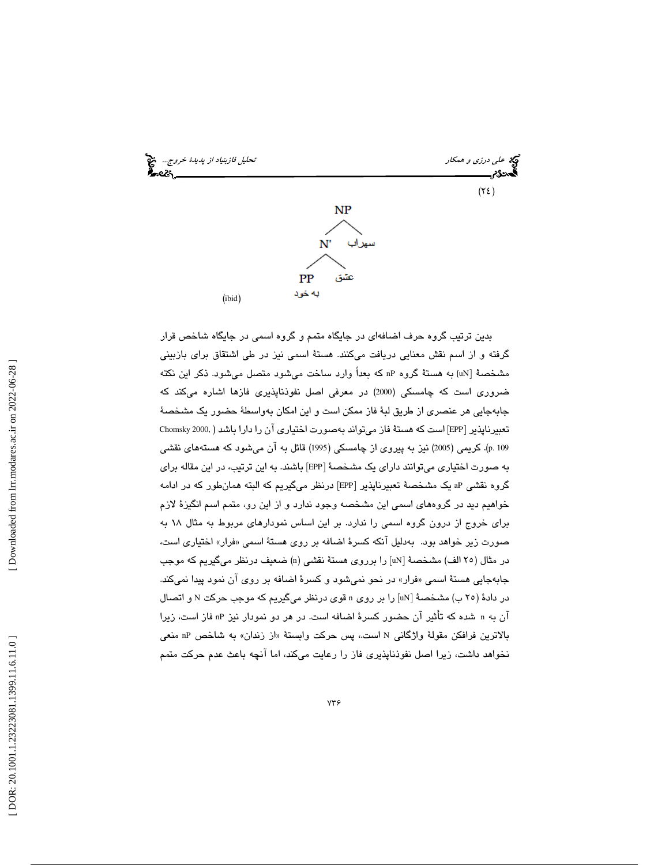

بدين ترتيب گروه حرف اضافهاي در جايگاه متمم و گروه اسمي در جايگاه شاخص قرار گرفته و از اسم نقش معنايي دريافت ميكنند. هستة اسمي نيز در طي اشتقاق براي بازبيني مشخصهٔ [uN] به هستهٔ گروه nP که بعداً وارد ساخت میشود متصل میشود. ذکر این نکته ضروري است كه چامسكي (2000) در معرفي اصل نفوذناپذيري فازها اشاره ميكند كه جابهجايي هر عنصري از طريق لبهٔ فاز ممكن است و اين امكان بهواسطهٔ حضور يک مشخصهٔ تعبيرناپذير [EPP] است كه هستهٔ فاز مىتواند بهصورت اختيارى ان را دارا باشد ( ,Chomsky 2000 109 .p(. كريمي (2005) نيز به پيروي از چامسكي (1995) قائل به آن ميشود كه هستههاي نقشي به صورت اختیاری میتوانند دارای یک مشخصهٔ [EPP] باشند. به این ترتیب، در این مقاله برای گروه نقشی aP یک مشخصهٔ تعبیرناپذیر [EPP] درنظر میگیریم که البته همانطور که در ادامه خواهيم ديد در گروههاي اسمي اين مشخصه وجود ندارد و از اين رو، متمم اسم انگيزهٔ لازم براي خروج از درون گروه اسمي را ندارد. بر اين اساس نمودارهاي مربوط به مثال 18 به صورت زير خواهد بود. بهدليل آنكه كسرة اضافه بر روي هستهٔ اسمي «فرار» اختياري است، در مثال (٢٥ الف) مشخصـهٔ [uN] را برروی هستهٔ نقشـی (n) ضـعیف درنظر میگیریم که موجب جابهجايي هستهٔ اسمي «فرار» در نحو نميشود و كسرهٔ اضافه بر روی ان نمود پيدا نميكند. در دادهٔ (۲۰ ب) مشخصهٔ [uN] را بر روی n قوی درنظر میگیریم که موجب حرکت N و اتصال آن به n شده كه تأثير آن حضور كسرة اضافه است. در هر دو نمودار نيز nP فاز است، زيرا از زندان» به شاخص nP منعي است،. پس حركت وابستة « بالاترين فرافكن مقولة واژگاني N نخواهد داشت، زيرا اصل نفوذناپذيري فاز را رعايت ميكند، اما آنچه باعث عدم حركت متمم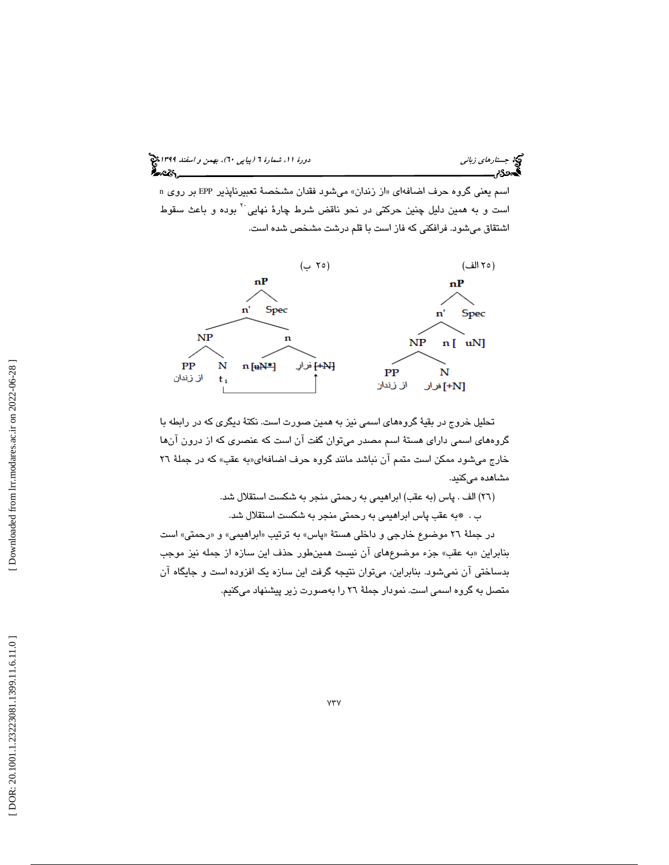# جستار*هاي زباني (بياپي 60)، بهمن و اسفند 1*398 هجرا بياني دورة 11، شمارة 1 (پياپي ٢٠)، بهم*ن و اسفند 1*394 هج

اسم يعني گروه حرف اضافهاي «از زندان» ميشود فقدان مشخصهٔ تعبيرناپذير EPP بر روي n است و به همين دليل چنين حركتي در نحو ناقض شرط چارهٔ نهايي <sup>۲</sup> بوده و باعث سقوط اشتقاق ميشود. فرافكني كه فاز است با قلم درشت مشخص شده است.



تحليل خروج در بقية گروههاي اسمي نيز به همين صورت است. نكتة ديگري كه در رابطه با گروههاي اسمي داراي هستة اسم مصدر ميتوان گفت آن است كه عنصري كه از درون آنها خارج میشود ممکن است متمم ان نباشد مانند گروه حرف اضافهای«به عقب» که در جملهٔ ۲۲ مشاهده ميكنيد.

26) الف . پاس (به عقب) ابراهيمي به رحمتي منجر به شكست استقلال شد. )

ب . \*به عقب پاس ابراهيمي به رحمتي منجر به شكست استقلال شد.

در جملهٔ ۲۲ موضوع خارجی و داخلی هستهٔ «پاس» به ترتیب «ابراهیمی» و «رحمتی» است بنابراين «به عقب» جزء موضوعِهاي ان نيست همينطور حذف اين سازه از جمله نيز موجب بدساختي آن نميشود. بنابراين ، ميتوان نتيجه گرفت اين سازه يك افزوده است و جايگاه آن متصل به گروه اسمي است. نمودار جملة 26 را بهصورت زير پيشنهاد ميكنيم .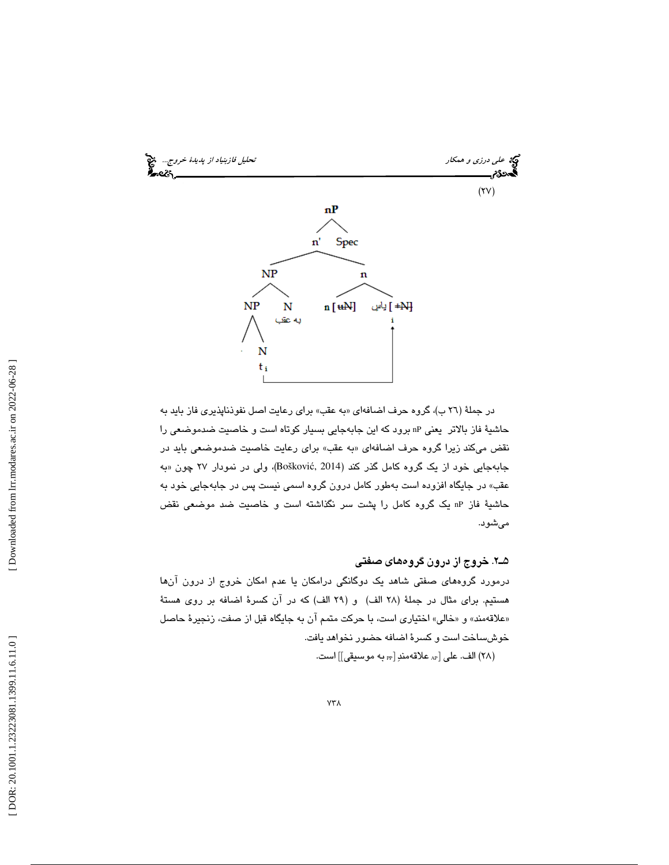

در جملهٔ (۲٦ ب)، گروه حرف اضافهای «به عقب» برای رعایت اصل نفوذناپذیری فاز باید به حاشية فاز بالاتر يعني nP برود كه اين جابهجايي بسيار كوتاه است و خاصيت ضدموضعي را نقض ميكند زيرا گروه حرف اضافهاي «به عقب» براي رعايت خاصيت ضدموضعي بايد در جابهجایی خود از یک گروه کامل گذر کند (Bošković, 2014)، ولی در نمودار ۲۷ چون «به عقب» در جايگاه افزوده است بهطور كامل درون گروه اسمي نيست پس در جابهجايي خود به حاشية فاز nP يك گروه كامل را پشت سر نگذاشته است و خاصيت ضد موضعي نقض ميشود.

2ـ5 . خروج از درون گروههاي صفتي

رد مورد گروههاي صفتي شاهد يك دوگانگي درامكان يا عدم امكان خروج از درون آنها هستيم. براي مثال در جملة ( 28 الف) و ( 29 الف) كه در آن كسرة اضافه بر روي هستة «علاقهمند» و «خالی» اختیاری است، با حرکت متمم ان به جایگاه قبل از صفت، زنجیرهٔ حاصل خوشساخت است و كسرة اضافه حضور نخواهد يافت. (٢٨) الف. على [<sub>AP</sub> علاقهمندِ [<sub>PP</sub> به موسيقى]] است.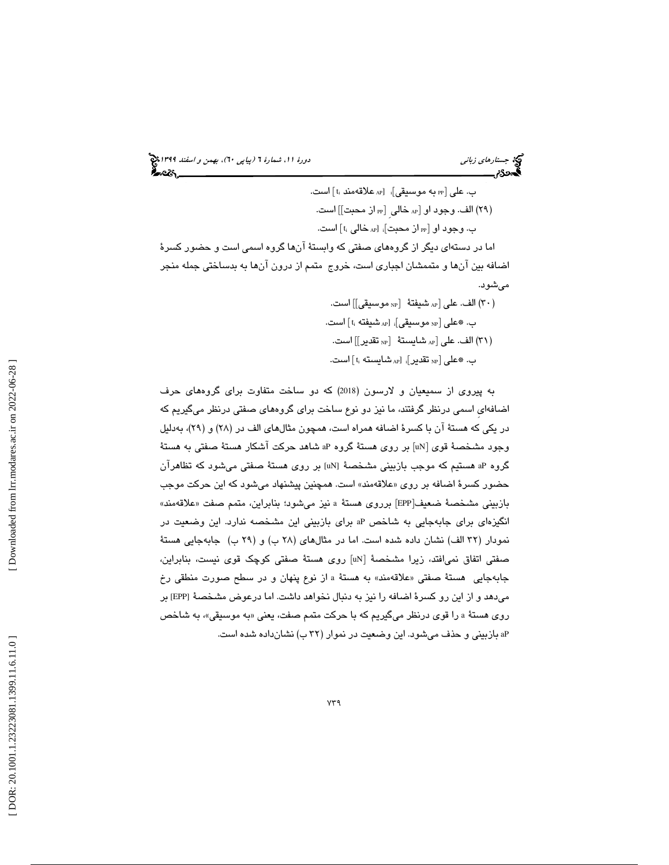جستار*هاي زباني (بياپي 60)، بهمن و اسفند 1*398 هجرا بياني دورة 11، شمارة 1 (پياپي ٢٠)، بهم*ن و اسفند 1*394 هج

ب. علي  $_{\rm PP}$  به موسيقي] $_{\rm p}$  [ $_{\rm AP}$  علاقهمند  $_{\rm t_{\rm i}}$  |ست. PP از محبت]] است. AP خالي ِ [ ( 29) الف. وجود او [ ب. وجود او [ $_{\mathrm{PP}}$  از محبت] $_{\mathrm{i}}$  [ $_{\mathrm{AP}}$  خالی  $_{\mathrm{i}}$ ] است. اما در دستهاي ديگر از گروههاي صفتي كه وابستة آنها گروه اسمي است و حضور كسرة اضافه بين آنها و متممشان اجباري است ، خروج متمم از درون آنها به بدساختي جمله منجر ميشو د. NP موسيقي]] است. AP شيفتة [ 30) الف. علي [ ) ب. ۞علي [<sub>NP</sub> موسيقي]<sub>i</sub> [<sub>AP</sub>] شيفته t<sub>i</sub> است.

NP تقدير]] است. ( 31) الف. عل [ي AP شايستة [ ب. ۞على [ $_{\textrm{\tiny{NP}}}$  تقدير] $_{\textrm{\tiny{AP}}}$  شايسته  $_{\textrm{\tiny{H}}}$  است.

به پيروي از سميعيان و لارسون ( 2018) كه دو ساخت متفاوت براي گروههاي حرف اضافه ايِ اسمي درنظر گرفتند، ما نيز دو نوع ساخت براي گروههاي صفتي درنظر ميگيريم كه در يكي كه هستهٔ آن با كسرهٔ اضافه همراه است، همچون مثالهای الف در (۲۸) و (۲۹)، بهدليل وجود مشخصهٔ قوی [uN] بر روی هستهٔ گروه aP شاهد حرکت اشکار هستهٔ صفتی به هستهٔ گروه aP هستيم كه موجب بازبيني مشخصة [uN [بر روي هستة صفتي ميشود كه تظاهرآن حضور كسرهٔ اضافه بر روی «علاقهمند» است. همچنین پیشنهاد میشود كه این حركت موجب بازبيني مشخصة ضعيف[EPP] برروي هستة a نيز ميشود؛ بنابراين، متمم صفت «علاقهمند» انگيزهاي براي جابهجايي به شاخص aP براي بازبيني اين مشخصه ندارد. اين وضعيت در نمودار (۳۲ الف) نشان داده شده است. اما در مثالهای (۲۸ ب) و (۲۹ ب) جابهجایی هستهٔ صفتی اتفاق نمیافتد، زیرا مشخصهٔ [uN] روی هستهٔ صفتی کوچک قوی نیست، بنابراین، جابهجايي هستهٔ صفتي «علاقهمند» به هستهٔ a از نوع پنهان و در سطح صورت منطقي رخ ميدهد و از اين رو كسرة اضافه را نيز به دنبال نخواهد داشت. اما درعوض مشخصة [EPP [بر روی هستهٔ a را قوی درنظر میگیریم که با حرکت متمم صفت، یعنی «به موسیقی»، به شاخص aP بازبيني و حذف ميشود. اين وضعيت در نموار ( 32 ب) نشانداده شده است .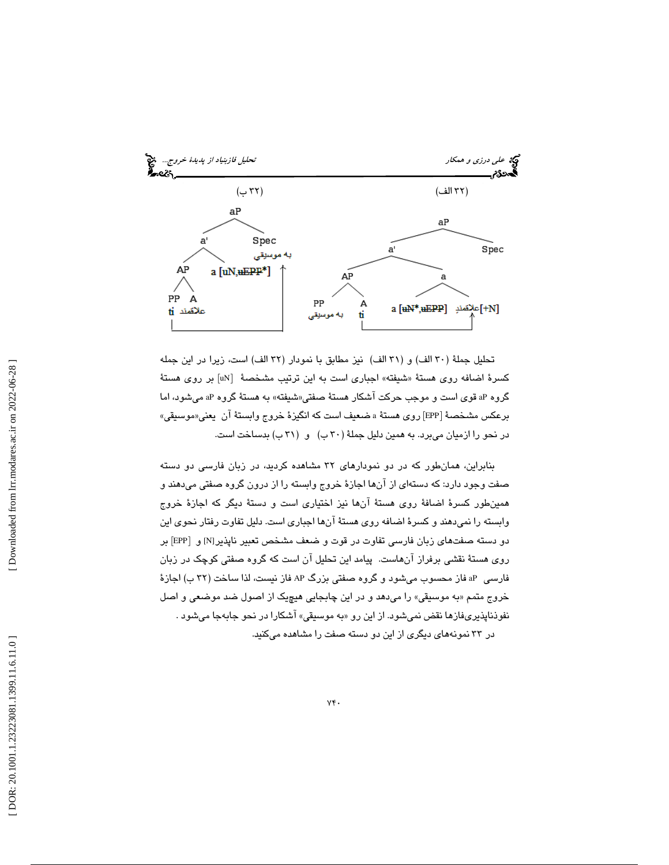

تحليل جملةً (٣٠ الف) و (٣١ الف) نيز مطابق با نمودار (٣٢ الف) است، زيرا در اين جمله كسرهٔ اضافه روی هستهٔ «شیفته» اجباری است به این ترتیب مشخصهٔ  $\left[ \textrm{uN} \right]$  بر روی هستهٔ گروه aP قوی است و موجب حرکت اشکار هستهٔ صفتی«شیفته» به هستهٔ گروه aP میشود، اما برعكس مشخصةُ [EPP] روي هستةُ a ضعيف است كه انگيزهٔ خروج وابستةُ ان يعني«موسيقي» در نحو را ازمیان میبرد. به همین دلیل جملهٔ (۳۰ ب) و (۳۱ ب) بدساخت است.

بنابراين ، همانطور كه در دو نمودارهاي 32 مشاهده كرديد، در زبان فارسي دو دسته صفت وجود دارد: كه دستهاي از آنها اجازة خروج وابسته را از درون گروه صفتي ميدهند و همينطور كسرة اضافة روي هستة آنها نيز اختياري است و دستة ديگر كه اجازة خروج وابسته را نميدهند و كسرة اضافه روي هستة آنها اجباري است. دليل تفاوت رفتار نحوي اين دو دسته صفتهای زبان فارسی تفاوت در قوت و ضعف مشخص تعبیر ناپذیر[N] و [EPP] بر روي هستة نقشي برفراز آنهاست . پيامد اين تحليل آن است كه گروه صفتي كوچك در زبان فارسي aP فاز محسوب ميشود و گروه صفتي بزرگ AP فاز نيست، لذا ساخت ( 32 ب) اجازة خروج متمم «به موسیقی» را میدهد و در این چابجایی هیچیک از اصول ضد موضعی و اصل نفوذناپذيريفازها نقض نميشود. از اين رو «به موسيقي» اشكارا در نحو جابهجا ميشود . در 33 نمونههاي ديگري از اين دو دسته صفت را مشاهده ميكنيد .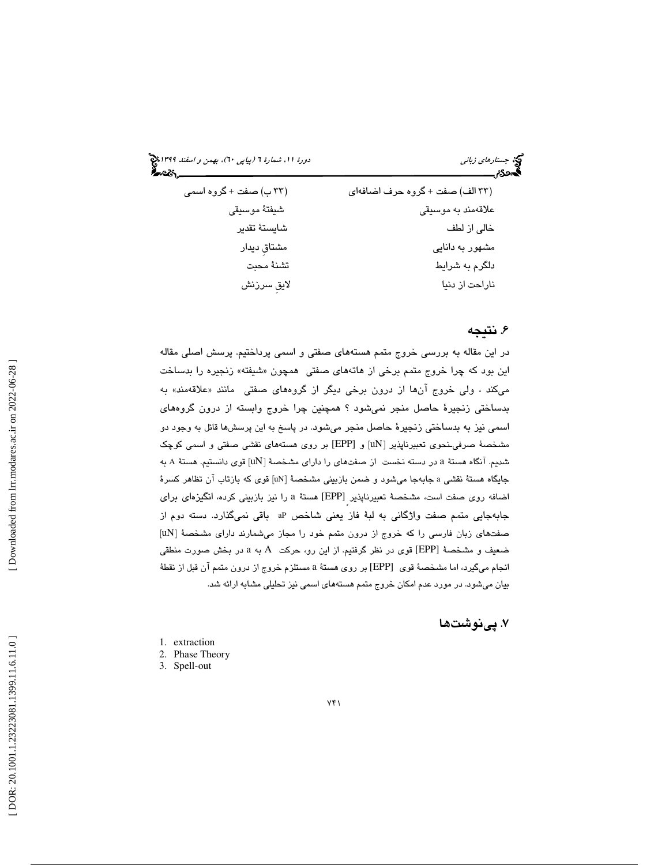جستار*هاي زباني (بياپي 60)، بهمن و اسفند 1*398 هجرا بياني دورة 11، شمارة 1 (پياپي ٢٠)، بهم*ن و اسفند 1*394 هج

| (۳۳ ب) صفت + گروه اسمی | (٣٣ الف) صفت + كروه حرف اضافهاي |
|------------------------|---------------------------------|
| شيفتهٔ موسيقى          | علاقەمند بە موسىقى              |
| شايستة تقدير           | خالی از لطف                     |
| مشتاق دیدار            | مشهور به دانایی                 |
| تشنة محبت              | دلگرم به شرایط                  |
| لايق سرزنش             | ناراحت از دنیا                  |

# . نتيجه 6

در اين مقاله به بررسي خروج متمم هستههاي صفتي و اسمي پرداختيم. پرسش اصلي مقاله اين بود كه چرا خروج متمم برخي از هاتههاي صفتي همچون «شيفته» زنجيره را بدساخت میکند ، ولی خروج انها از درون برخی دیگر از گروههای صفتی مانند «علاقهمند» به بدساختي زنجيرة حاصل منجر نمي شود ؟ همچنين چرا خروج وابسته از درون گروههاي اسمي نيز به بدساختي زنجيرة حاصل منجر ميشود. در پاسخ به اين پرسشها قائل به وجود دو مشخصهٔ صرفی نحوی تعبیرناپذیر [uN] و [EPP] بر روی هستههای نقشی صفتی و اسمی کوچک شديم. آنگاه هستهٔ a در دسته نخست از صفتهای را دارای مشخصهٔ [uN] قوی دانستیم. هستهٔ A به جايگاه هستهٔ نقشي a جابهجا ميشود و ضمن بازبيني مشخصهٔ [uN] قوي كه بازتاب آن تظاهر كسرهٔ اضافه روی صفت است، مشخصهٔ تعبیرناپذیر [EPP] هستهٔ a را نیز بازبینی کرده، انگیزهای برای جابهجايي متمم صفت واژگاني به لبهٔ فاز يعني شاخص aP باقي نميگذارد. دسته دوم از [uN صفتهاي زبان فارسي را كه خروج از درون متمم خود را مجاز ميشمارند داراي مشخصة [ ضعيف و مشخصهٔ [EPP] قوی در نظر گرفتيم. از اين رو، حركت A به a در بخش صورت منطقی انجام میگیرد، اما مشخصهٔ قوی [EPP] بر روی هستهٔ a مستلزم خروج از درون متمم آن قبل از نقطهٔ بيان ميشود. در مورد عدم امكان خروج متمم هستههاي اسمي نيز تحليلي مشابه ارائه شد.

# . پينوشت ها 7

- 1. extraction
- 2. Phase Theory
- 3. Spell-out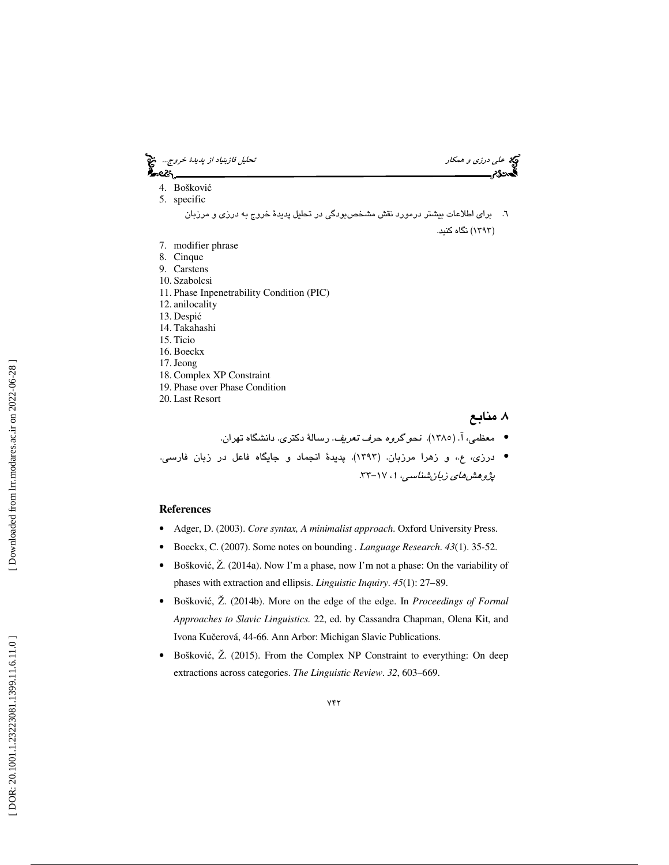

- معظمي، ( آ. 1385). نحو گروه حرف تعريف. رسالة دكتري. دانشگاه تهران. •
- درزی، ع.، و زهرا مرزبان. (١٣٩٣). پديدهٔ انجماد و جايگاه فاعل در زبان فارسي. پژوهشهای زبانشناسی، ۱، ۱۷–۳۳.

#### **References**

- Adger, D. (2003). *Core syntax, A minimalist approach*. Oxford University Press.
- Boeckx, C. (2007). Some notes on bounding *. Language Research*. *43*(1). 35-52.
- Bošković, Ž. (2014a). Now I'm a phase, now I'm not a phase: On the variability of phases with extraction and ellipsis. *Linguistic Inquiry*. *45*(1): 27−89.
- Boškovi ć, Ž. (2014b). More on the edge of the edge. In *Proceedings of Formal Approaches to Slavic Linguistics.* 22, ed. by Cassandra Chapman, Olena Kit, and Ivona Ku čerová, 44-66. Ann Arbor: Michigan Slavic Publications.
- Boškovi ć, Ž. (2015). From the Complex NP Constraint to everything: On deep extractions across categories. *The Linguistic Review*. *32*, 603–669.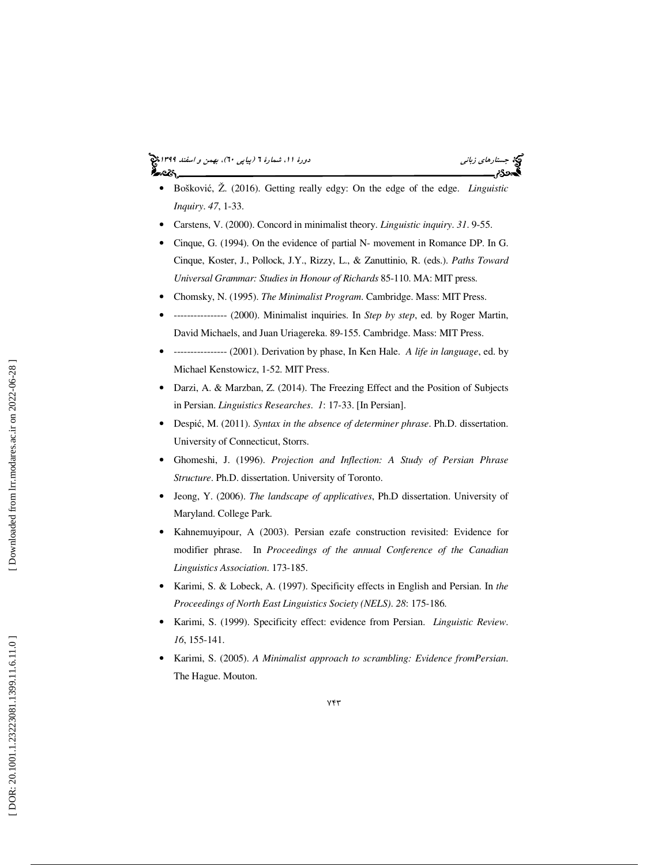- Boškovi ć, Ž. (2016). Getting really edgy: On the edge of the edge. *Linguistic Inquiry*. *47*, 1-33.
- Carstens, V. (2000). Concord in minimalist theory. *Linguistic inquiry*. *31*. 9-55.
- Cinque, G. (1994). On the evidence of partial N- movement in Romance DP. In G. Cinque, Koster, J., Pollock, J.Y., Rizzy, L., & Zanuttinio, R. (eds.). *Paths Toward Universal Grammar: Studies in Honour of Richards* 85-110. MA: MIT press.
- Chomsky, N. (1995). *The Minimalist Program*. Cambridge. Mass: MIT Press.
- ---------------- (2000). Minimalist inquiries. In *Step by step*, ed. by Roger Martin, David Michaels, and Juan Uriagereka. 89-155. Cambridge. Mass: MIT Press.
- ---------------- (2001). Derivation by phase, In Ken Hale. *A life in language*, ed. by Michael Kenstowicz, 1-52. MIT Press.
- Darzi, A. & Marzban, Z. (2014). The Freezing Effect and the Position of Subjects in Persian. *Linguistics Researches*. *1*: 17-33. [In Persian].
- Despi ć, M. (2011). *Syntax in the absence of determiner phrase*. Ph.D. dissertation. University of Connecticut, Storrs.
- Ghomeshi, J. (1996). *Projection and Inflection: A Study of Persian Phrase Structure*. Ph.D. dissertation. University of Toronto.
- Jeong, Y. (2006). *The landscape of applicatives*, Ph.D dissertation. University of Maryland. College Park.
- Kahnemuyipour, A (2003). Persian ezafe construction revisited: Evidence for modifier phrase. In *Proceedings of the annual Conference of the Canadian Linguistics Association*. 173-185.
- Karimi, S. & Lobeck, A. (1997). Specificity effects in English and Persian. In *the Proceedings of North East Linguistics Society (NELS)*. *28*: 175-186.
- Karimi, S. (1999). Specificity effect: evidence from Persian. *Linguistic Review*. *16*, 155-141.
- Karimi, S. (2005). *A Minimalist approach to scrambling: Evidence fromPersian*. The Hague. Mouton.